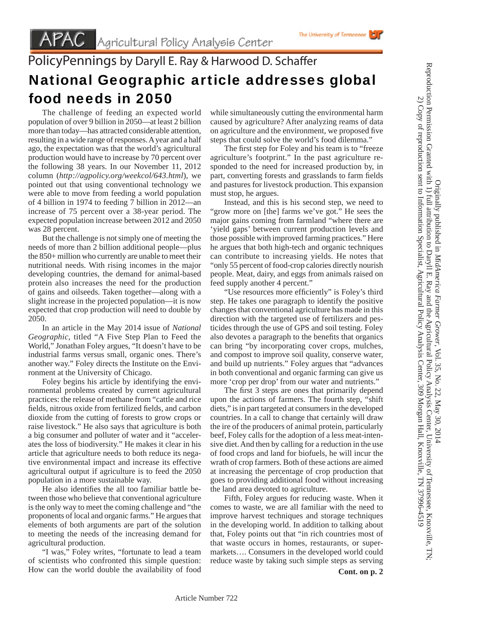## PolicyPennings by Daryll E. Ray & Harwood D. Schaffer National Geographic article addresses global food needs in 2050

 The challenge of feeding an expected world population of over 9 billion in 2050—at least 2 billion more than today—has attracted considerable attention, resulting in a wide range of responses. A year and a half ago, the expectation was that the world's agricultural production would have to increase by 70 percent over the following 38 years. In our November 11, 2012 column (*http://agpolicy.org/weekcol/643.html*), we pointed out that using conventional technology we were able to move from feeding a world population of 4 billion in 1974 to feeding 7 billion in 2012—an increase of 75 percent over a 38-year period. The expected population increase between 2012 and 2050 was 28 percent.

 But the challenge is not simply one of meeting the needs of more than 2 billion additional people—plus the 850+ million who currently are unable to meet their nutritional needs. With rising incomes in the major developing countries, the demand for animal-based protein also increases the need for the production of gains and oilseeds. Taken together—along with a slight increase in the projected population—it is now expected that crop production will need to double by 2050.

 In an article in the May 2014 issue of *National Geographic*, titled "A Five Step Plan to Feed the World," Jonathan Foley argues, "It doesn't have to be industrial farms versus small, organic ones. There's another way." Foley directs the Institute on the Environment at the University of Chicago.

 Foley begins his article by identifying the environmental problems created by current agricultural practices: the release of methane from "cattle and rice fields, nitrous oxide from fertilized fields, and carbon dioxide from the cutting of forests to grow crops or raise livestock." He also says that agriculture is both a big consumer and polluter of water and it "accelerates the loss of biodiversity." He makes it clear in his article that agriculture needs to both reduce its negative environmental impact and increase its effective agricultural output if agriculture is to feed the 2050 population in a more sustainable way.

He also identifies the all too familiar battle between those who believe that conventional agriculture is the only way to meet the coming challenge and "the proponents of local and organic farms." He argues that elements of both arguments are part of the solution to meeting the needs of the increasing demand for agricultural production.

 "I was," Foley writes, "fortunate to lead a team of scientists who confronted this simple question: How can the world double the availability of food

while simultaneously cutting the environmental harm caused by agriculture? After analyzing reams of data on agriculture and the environment, we proposed five steps that could solve the world's food dilemma."

The University of Tennessee

The first step for Foley and his team is to "freeze" agriculture's footprint." In the past agriculture responded to the need for increased production by, in part, converting forests and grasslands to farm fields and pastures for livestock production. This expansion must stop, he argues.

 Instead, and this is his second step, we need to "grow more on [the] farms we've got." He sees the major gains coming from farmland "where there are 'yield gaps' between current production levels and those possible with improved farming practices." Here he argues that both high-tech and organic techniques can contribute to increasing yields. He notes that "only 55 percent of food-crop calories directly nourish people. Meat, dairy, and eggs from animals raised on feed supply another 4 percent."

"Use resources more efficiently" is Foley's third step. He takes one paragraph to identify the positive changes that conventional agriculture has made in this direction with the targeted use of fertilizers and pesticides through the use of GPS and soil testing. Foley also devotes a paragraph to the benefits that organics can bring "by incorporating cover crops, mulches, and compost to improve soil quality, conserve water, and build up nutrients." Foley argues that "advances in both conventional and organic farming can give us more 'crop per drop' from our water and nutrients."

The first 3 steps are ones that primarily depend upon the actions of farmers. The fourth step, "shift diets," is in part targeted at consumers in the developed countries. In a call to change that certainly will draw the ire of the producers of animal protein, particularly beef, Foley calls for the adoption of a less meat-intensive diet. And then by calling for a reduction in the use of food crops and land for biofuels, he will incur the wrath of crop farmers. Both of these actions are aimed at increasing the percentage of crop production that goes to providing additional food without increasing the land area devoted to agriculture.

 Fifth, Foley argues for reducing waste. When it comes to waste, we are all familiar with the need to improve harvest techniques and storage techniques in the developing world. In addition to talking about that, Foley points out that "in rich countries most of that waste occurs in homes, restaurants, or supermarkets…. Consumers in the developed world could reduce waste by taking such simple steps as serving Originally published in *MidAmerica Farmer Grower*

, Vol. 35, No. 22, May 30, 2014